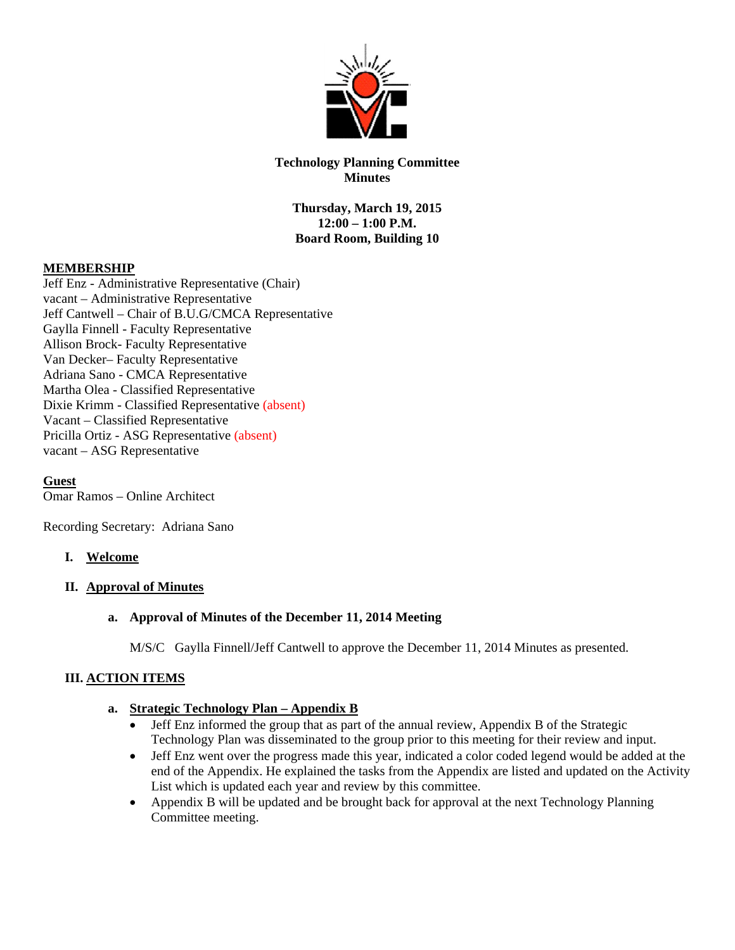

# **Technology Planning Committee Minutes**

**Thursday, March 19, 2015 12:00 – 1:00 P.M. Board Room, Building 10** 

# **MEMBERSHIP**

Jeff Enz - Administrative Representative (Chair) vacant – Administrative Representative Jeff Cantwell – Chair of B.U.G/CMCA Representative Gaylla Finnell - Faculty Representative Allison Brock- Faculty Representative Van Decker– Faculty Representative Adriana Sano - CMCA Representative Martha Olea - Classified Representative Dixie Krimm - Classified Representative (absent) Vacant – Classified Representative Pricilla Ortiz - ASG Representative (absent) vacant – ASG Representative

**Guest**  Omar Ramos – Online Architect

Recording Secretary: Adriana Sano

# **I. Welcome**

# **II. Approval of Minutes**

# **a. Approval of Minutes of the December 11, 2014 Meeting**

M/S/C Gaylla Finnell/Jeff Cantwell to approve the December 11, 2014 Minutes as presented.

# **III. ACTION ITEMS**

### **a. Strategic Technology Plan – Appendix B**

- Jeff Enz informed the group that as part of the annual review, Appendix B of the Strategic Technology Plan was disseminated to the group prior to this meeting for their review and input.
- Jeff Enz went over the progress made this year, indicated a color coded legend would be added at the end of the Appendix. He explained the tasks from the Appendix are listed and updated on the Activity List which is updated each year and review by this committee.
- Appendix B will be updated and be brought back for approval at the next Technology Planning Committee meeting.